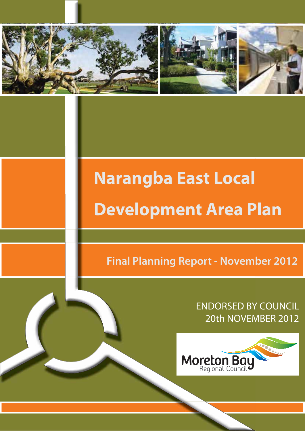

# **Narangba East Local Development Area Plan**

**Final Planning Report - November 2012** 

**ENDORSED BY COUNCIL** 20th NOVEMBER 2012

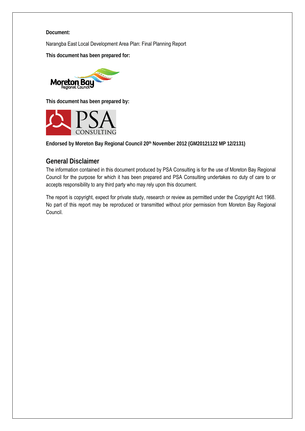#### **Document:**

Narangba East Local Development Area Plan: Final Planning Report

**This document has been prepared for:**



**This document has been prepared by:**



**Endorsed by Moreton Bay Regional Council 20th November 2012 (GM20121122 MP 12/2131)**

## **General Disclaimer**

The information contained in this document produced by PSA Consulting is for the use of Moreton Bay Regional Council for the purpose for which it has been prepared and PSA Consulting undertakes no duty of care to or accepts responsibility to any third party who may rely upon this document.

The report is copyright, expect for private study, research or review as permitted under the Copyright Act 1968. No part of this report may be reproduced or transmitted without prior permission from Moreton Bay Regional Council.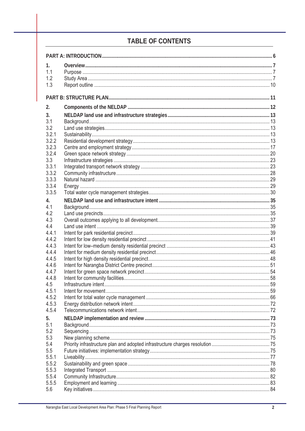# **TABLE OF CONTENTS**

| 1.             |  |  |
|----------------|--|--|
| 1.1            |  |  |
| 1.2            |  |  |
| 1.3            |  |  |
|                |  |  |
|                |  |  |
| 2.             |  |  |
| 3.             |  |  |
| 3.1            |  |  |
| 3.2            |  |  |
| 3.2.1          |  |  |
| 3.2.2          |  |  |
| 3.2.3          |  |  |
| 3.2.4          |  |  |
| 3.3            |  |  |
| 3.3.1          |  |  |
| 3.3.2          |  |  |
| 3.3.3          |  |  |
| 3.3.4<br>3.3.5 |  |  |
|                |  |  |
| 4.             |  |  |
| 4.1            |  |  |
| 4.2            |  |  |
| 4.3            |  |  |
| 4.4<br>4.4.1   |  |  |
| 4.4.2          |  |  |
| 4.4.3          |  |  |
| 4.4.4          |  |  |
| 4.4.5          |  |  |
| 4.4.6          |  |  |
| 4.4.7          |  |  |
| 4.4.8          |  |  |
| 4.5            |  |  |
| 4.5.1          |  |  |
| 4.5.2          |  |  |
| 4.5.3          |  |  |
| 4.5.4          |  |  |
| 5.             |  |  |
| 5.1            |  |  |
| 5.2            |  |  |
| 5.3            |  |  |
| 5.4            |  |  |
| 5.5            |  |  |
| 5.5.1          |  |  |
| 5.5.2          |  |  |
| 5.5.3          |  |  |
| 5.5.4          |  |  |
| 5.5.5          |  |  |
| 5.6            |  |  |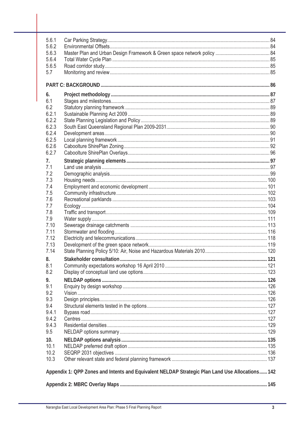| 5.6.1 |                                                                                                 |  |
|-------|-------------------------------------------------------------------------------------------------|--|
| 5.6.2 |                                                                                                 |  |
| 5.6.3 |                                                                                                 |  |
| 5.6.4 |                                                                                                 |  |
| 5.6.5 |                                                                                                 |  |
| 5.7   |                                                                                                 |  |
|       |                                                                                                 |  |
| 6.    |                                                                                                 |  |
| 6.1   |                                                                                                 |  |
| 6.2   |                                                                                                 |  |
| 6.2.1 |                                                                                                 |  |
| 6.2.2 |                                                                                                 |  |
| 6.2.3 |                                                                                                 |  |
| 6.2.4 |                                                                                                 |  |
| 6.2.5 |                                                                                                 |  |
| 6.2.6 |                                                                                                 |  |
| 6.2.7 |                                                                                                 |  |
| 7.    |                                                                                                 |  |
| 7.1   |                                                                                                 |  |
| 7.2   |                                                                                                 |  |
| 7.3   |                                                                                                 |  |
| 7.4   |                                                                                                 |  |
| 7.5   |                                                                                                 |  |
| 7.6   |                                                                                                 |  |
| 7.7   |                                                                                                 |  |
| 7.8   |                                                                                                 |  |
| 7.9   |                                                                                                 |  |
| 7.10  |                                                                                                 |  |
| 7.11  |                                                                                                 |  |
| 7.12  |                                                                                                 |  |
| 7.13  |                                                                                                 |  |
| 7.14  |                                                                                                 |  |
| 8.    |                                                                                                 |  |
| 8.1   |                                                                                                 |  |
| 8.2   |                                                                                                 |  |
| 9.    |                                                                                                 |  |
| 9.1   |                                                                                                 |  |
| 9.2   |                                                                                                 |  |
| 9.3   |                                                                                                 |  |
| 9.4   |                                                                                                 |  |
| 9.4.1 |                                                                                                 |  |
| 9.4.2 |                                                                                                 |  |
| 9.4.3 |                                                                                                 |  |
| 9.5   |                                                                                                 |  |
| 10.   |                                                                                                 |  |
| 10.1  |                                                                                                 |  |
| 10.2  |                                                                                                 |  |
| 10.3  |                                                                                                 |  |
|       | Appendix 1: QPP Zones and Intents and Equivalent NELDAP Strategic Plan Land Use Allocations 142 |  |
|       |                                                                                                 |  |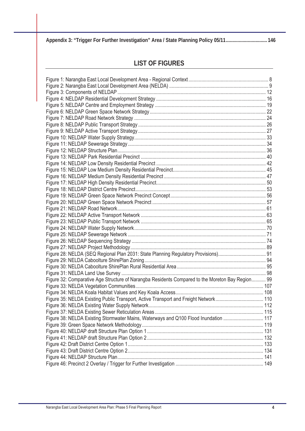**Appendix 3: "Trigger For Further Investigation" Area / State Planning Policy 05/11................................ 146**

## **LIST OF FIGURES**

| Figure 32: Comparative Age Structure of Narangba Residents Compared to the Moreton Bay Region 99 |  |
|--------------------------------------------------------------------------------------------------|--|
|                                                                                                  |  |
|                                                                                                  |  |
|                                                                                                  |  |
|                                                                                                  |  |
|                                                                                                  |  |
| Figure 38: NELDA Existing Stormwater Mains, Waterways and Q100 Flood Inundation  117             |  |
|                                                                                                  |  |
|                                                                                                  |  |
|                                                                                                  |  |
|                                                                                                  |  |
|                                                                                                  |  |
|                                                                                                  |  |
|                                                                                                  |  |
|                                                                                                  |  |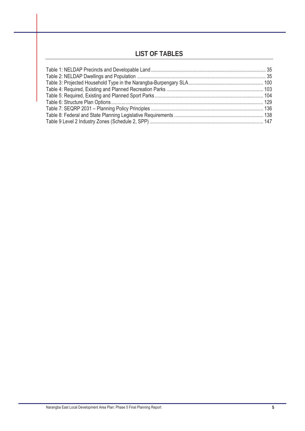## **LIST OF TABLES**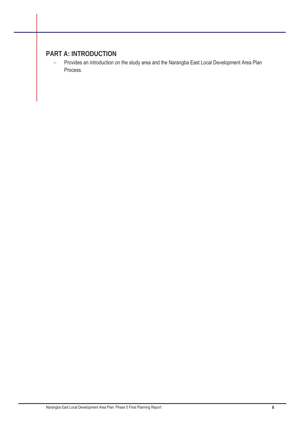## **PART A: INTRODUCTION**

- Provides an introduction on the study area and the Narangba East Local Development Area Plan Process.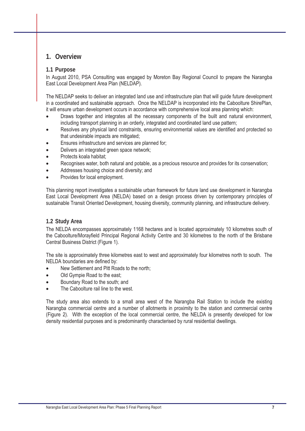### **1. Overview**

#### **1.1 Purpose**

In August 2010, PSA Consulting was engaged by Moreton Bay Regional Council to prepare the Narangba East Local Development Area Plan (NELDAP).

The NELDAP seeks to deliver an integrated land use and infrastructure plan that will guide future development in a coordinated and sustainable approach. Once the NELDAP is incorporated into the Caboolture ShirePlan, it will ensure urban development occurs in accordance with comprehensive local area planning which:

- Draws together and integrates all the necessary components of the built and natural environment, including transport planning in an orderly, integrated and coordinated land use pattern;
- Resolves any physical land constraints, ensuring environmental values are identified and protected so that undesirable impacts are mitigated;
- Ensures infrastructure and services are planned for;
- Delivers an integrated green space network;
- Protects koala habitat;
- Recognises water, both natural and potable, as a precious resource and provides for its conservation;
- Addresses housing choice and diversity; and
- Provides for local employment.

This planning report investigates a sustainable urban framework for future land use development in Narangba East Local Development Area (NELDA) based on a design process driven by contemporary principles of sustainable Transit Oriented Development, housing diversity, community planning, and infrastructure delivery.

#### **1.2 Study Area**

The NELDA encompasses approximately 1168 hectares and is located approximately 10 kilometres south of the Caboolture/Morayfield Principal Regional Activity Centre and 30 kilometres to the north of the Brisbane Central Business District (Figure 1).

The site is approximately three kilometres east to west and approximately four kilometres north to south. The NELDA boundaries are defined by:

- New Settlement and Pitt Roads to the north;
- Old Gympie Road to the east;
- Boundary Road to the south; and
- The Caboolture rail line to the west.

The study area also extends to a small area west of the Narangba Rail Station to include the existing Narangba commercial centre and a number of allotments in proximity to the station and commercial centre (Figure 2). With the exception of the local commercial centre, the NELDA is presently developed for low density residential purposes and is predominantly characterised by rural residential dwellings.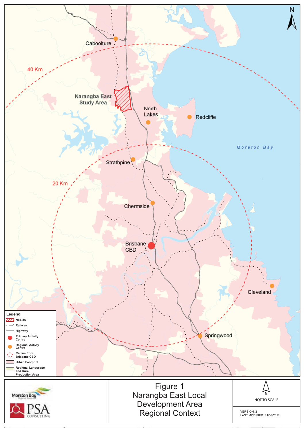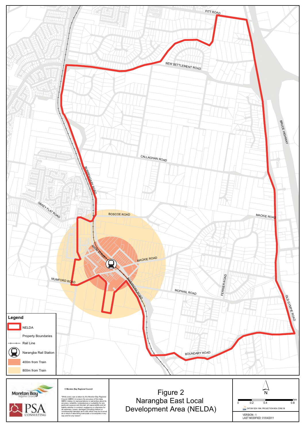